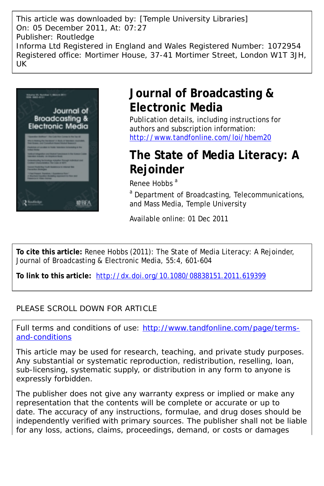This article was downloaded by: [Temple University Libraries] On: 05 December 2011, At: 07:27 Publisher: Routledge Informa Ltd Registered in England and Wales Registered Number: 1072954 Registered office: Mortimer House, 37-41 Mortimer Street, London W1T 3JH, UK



# **Journal of Broadcasting & Electronic Media**

Publication details, including instructions for authors and subscription information: <http://www.tandfonline.com/loi/hbem20>

# **The State of Media Literacy: A Rejoinder**

Renee Hobbs<sup>a</sup>

<sup>a</sup> Department of Broadcasting, Telecommunications, and Mass Media, Temple University

Available online: 01 Dec 2011

**To cite this article:** Renee Hobbs (2011): The State of Media Literacy: A Rejoinder, Journal of Broadcasting & Electronic Media, 55:4, 601-604

**To link to this article:** <http://dx.doi.org/10.1080/08838151.2011.619399>

## PLEASE SCROLL DOWN FOR ARTICLE

Full terms and conditions of use: [http://www.tandfonline.com/page/terms](http://www.tandfonline.com/page/terms-and-conditions)[and-conditions](http://www.tandfonline.com/page/terms-and-conditions)

This article may be used for research, teaching, and private study purposes. Any substantial or systematic reproduction, redistribution, reselling, loan, sub-licensing, systematic supply, or distribution in any form to anyone is expressly forbidden.

The publisher does not give any warranty express or implied or make any representation that the contents will be complete or accurate or up to date. The accuracy of any instructions, formulae, and drug doses should be independently verified with primary sources. The publisher shall not be liable for any loss, actions, claims, proceedings, demand, or costs or damages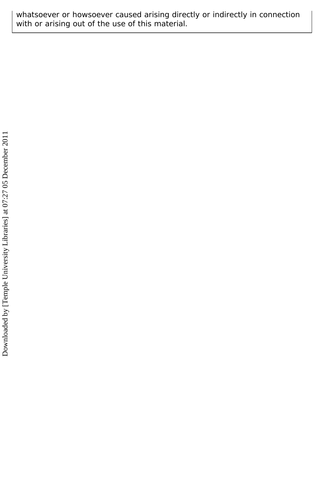whatsoever or howsoever caused arising directly or indirectly in connection with or arising out of the use of this material.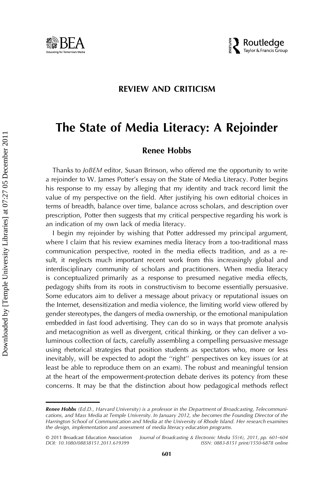### REVIEW AND CRITICISM

## The State of Media Literacy: A Rejoinder

### Renee Hobbs

Thanks to JoBEM editor, Susan Brinson, who offered me the opportunity to write a rejoinder to W. James Potter's essay on the State of Media Literacy. Potter begins his response to my essay by alleging that my identity and track record limit the value of my perspective on the field. After justifying his own editorial choices in terms of breadth, balance over time, balance across scholars, and description over prescription, Potter then suggests that my critical perspective regarding his work is an indication of my own lack of media literacy.

I begin my rejoinder by wishing that Potter addressed my principal argument, where I claim that his review examines media literacy from a too-traditional mass communication perspective, rooted in the media effects tradition, and as a result, it neglects much important recent work from this increasingly global and interdisciplinary community of scholars and practitioners. When media literacy is conceptualized primarily as a response to presumed negative media effects, pedagogy shifts from its roots in constructivism to become essentially persuasive. Some educators aim to deliver a message about privacy or reputational issues on the Internet, desensitization and media violence, the limiting world view offered by gender stereotypes, the dangers of media ownership, or the emotional manipulation embedded in fast food advertising. They can do so in ways that promote analysis and metacognition as well as divergent, critical thinking, or they can deliver a voluminous collection of facts, carefully assembling a compelling persuasive message using rhetorical strategies that position students as spectators who, more or less inevitably, will be expected to adopt the ''right'' perspectives on key issues (or at least be able to reproduce them on an exam). The robust and meaningful tension at the heart of the empowerment-protection debate derives its potency from these concerns. It may be that the distinction about how pedagogical methods reflect





Renee Hobbs (Ed.D., Harvard University) is a professor in the Department of Broadcasting, Telecommunications, and Mass Media at Temple University. In January 2012, she becomes the Founding Director of the Harrington School of Communication and Media at the University of Rhode Island. Her research examines the design, implementation and assessment of media literacy education programs.

<sup>©</sup> 2011 Broadcast Education Association Journal of Broadcasting & Electronic Media 55(4), 2011, pp. 601–604 ISSN: 0883-8151 print/1550-6878 online 601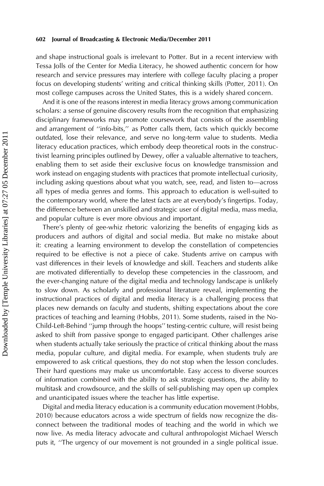#### 602 Journal of Broadcasting & Electronic Media/December 2011

and shape instructional goals is irrelevant to Potter. But in a recent interview with Tessa Jolls of the Center for Media Literacy, he showed authentic concern for how research and service pressures may interfere with college faculty placing a proper focus on developing students' writing and critical thinking skills (Potter, 2011). On most college campuses across the United States, this is a widely shared concern.

And it is one of the reasons interest in media literacy grows among communication scholars: a sense of genuine discovery results from the recognition that emphasizing disciplinary frameworks may promote coursework that consists of the assembling and arrangement of ''info-bits,'' as Potter calls them, facts which quickly become outdated, lose their relevance, and serve no long-term value to students. Media literacy education practices, which embody deep theoretical roots in the constructivist learning principles outlined by Dewey, offer a valuable alternative to teachers, enabling them to set aside their exclusive focus on knowledge transmission and work instead on engaging students with practices that promote intellectual curiosity, including asking questions about what you watch, see, read, and listen to—across all types of media genres and forms. This approach to education is well-suited to the contemporary world, where the latest facts are at everybody's fingertips. Today, the difference between an unskilled and strategic user of digital media, mass media, and popular culture is ever more obvious and important.

There's plenty of gee-whiz rhetoric valorizing the benefits of engaging kids as producers and authors of digital and social media. But make no mistake about it: creating a learning environment to develop the constellation of competencies required to be effective is not a piece of cake. Students arrive on campus with vast differences in their levels of knowledge and skill. Teachers and students alike are motivated differentially to develop these competencies in the classroom, and the ever-changing nature of the digital media and technology landscape is unlikely to slow down. As scholarly and professional literature reveal, implementing the instructional practices of digital and media literacy is a challenging process that places new demands on faculty and students, shifting expectations about the core practices of teaching and learning (Hobbs, 2011). Some students, raised in the No-Child-Left-Behind ''jump through the hoops'' testing-centric culture, will resist being asked to shift from passive sponge to engaged participant. Other challenges arise when students actually take seriously the practice of critical thinking about the mass media, popular culture, and digital media. For example, when students truly are empowered to ask critical questions, they do not stop when the lesson concludes. Their hard questions may make us uncomfortable. Easy access to diverse sources of information combined with the ability to ask strategic questions, the ability to multitask and crowdsource, and the skills of self-publishing may open up complex and unanticipated issues where the teacher has little expertise.

Digital and media literacy education is a community education movement (Hobbs, 2010) because educators across a wide spectrum of fields now recognize the disconnect between the traditional modes of teaching and the world in which we now live. As media literacy advocate and cultural anthropologist Michael Wersch puts it, ''The urgency of our movement is not grounded in a single political issue.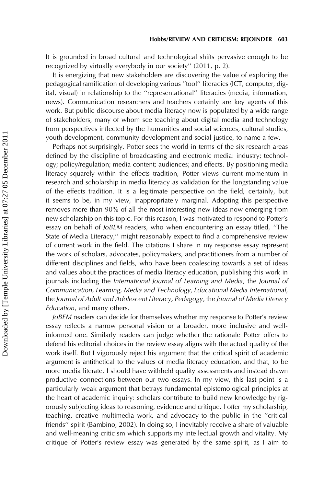It is grounded in broad cultural and technological shifts pervasive enough to be recognized by virtually everybody in our society'' (2011, p. 2).

It is energizing that new stakeholders are discovering the value of exploring the pedagogical ramification of developing various ''tool'' literacies (ICT, computer, digital, visual) in relationship to the ''representational'' literacies (media, information, news). Communication researchers and teachers certainly are key agents of this work. But public discourse about media literacy now is populated by a wide range of stakeholders, many of whom see teaching about digital media and technology from perspectives inflected by the humanities and social sciences, cultural studies, youth development, community development and social justice, to name a few.

Perhaps not surprisingly, Potter sees the world in terms of the six research areas defined by the discipline of broadcasting and electronic media: industry; technology; policy/regulation; media content; audiences; and effects. By positioning media literacy squarely within the effects tradition, Potter views current momentum in research and scholarship in media literacy as validation for the longstanding value of the effects tradition. It is a legitimate perspective on the field, certainly, but it seems to be, in my view, inappropriately marginal. Adopting this perspective removes more than 90% of all the most interesting new ideas now emerging from new scholarship on this topic. For this reason, I was motivated to respond to Potter's essay on behalf of JoBEM readers, who when encountering an essay titled, ''The State of Media Literacy,'' might reasonably expect to find a comprehensive review of current work in the field. The citations I share in my response essay represent the work of scholars, advocates, policymakers, and practitioners from a number of different disciplines and fields, who have been coalescing towards a set of ideas and values about the practices of media literacy education, publishing this work in journals including the International Journal of Learning and Media, the Journal of Communication, Learning, Media and Technology, Educational Media International, the Journal of Adult and Adolescent Literacy, Pedagogy, the Journal of Media Literacy Education, and many others.

JoBEM readers can decide for themselves whether my response to Potter's review essay reflects a narrow personal vision or a broader, more inclusive and wellinformed one. Similarly readers can judge whether the rationale Potter offers to defend his editorial choices in the review essay aligns with the actual quality of the work itself. But I vigorously reject his argument that the critical spirit of academic argument is antithetical to the values of media literacy education, and that, to be more media literate, I should have withheld quality assessments and instead drawn productive connections between our two essays. In my view, this last point is a particularly weak argument that betrays fundamental epistemological principles at the heart of academic inquiry: scholars contribute to build new knowledge by rigorously subjecting ideas to reasoning, evidence and critique. I offer my scholarship, teaching, creative multimedia work, and advocacy to the public in the ''critical friends'' spirit (Bambino, 2002). In doing so, I inevitably receive a share of valuable and well-meaning criticism which supports my intellectual growth and vitality. My critique of Potter's review essay was generated by the same spirit, as I aim to